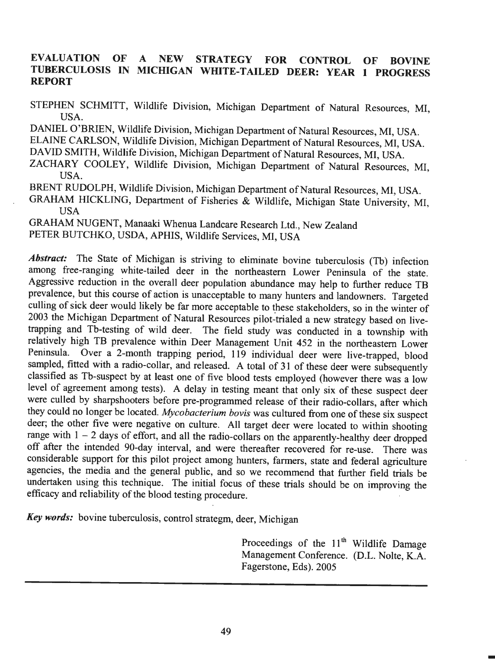# **EVALUATION OF A NEW STRATEGY FOR CONTROL OF BOVINE TUBERCULOSIS IN MICHIGAN WHITE-TAILED DEER: YEAR 1 PROGRESS REPORT**

STEPHEN SCHMITT, Wildlife Division, Michigan Department of Natural Resources, MI, USA.

DANIEL O'BRIEN, Wildlife Division, Michigan Department of Natural Resources, MI, USA. ELAINE CARLSON, Wildlife Division, Michigan Department of Natural Resources, MI, USA. DA YID SMITH, Wildlife Division, Michigan Department of Natural Resources, MI, USA.

ZACHARY COOLEY, Wildlife Division, Michigan Department of Natural Resources, MI, USA.

BRENT RUDOLPH, Wildlife Division, Michigan Department of Natural Resources, MI, USA.

GRAHAM HICKLING, Department of Fisheries & Wildlife, Michigan State University, MI, **USA** 

GRAHAM NUGENT, Manaaki Whenua Landcare Research Ltd., New Zealand PETER BUTCHKO, USDA, APHIS, Wildlife Services, MI, USA

Abstract: The State of Michigan is striving to eliminate bovine tuberculosis (Tb) infection among free-ranging white-tailed deer in the northeastern Lower Peninsula of the state. Aggressive reduction in the overall deer population abundance may help to further reduce TB prevalence, but this course of action is unacceptable to many hunters and landowners. Targeted culling of sick deer would likely be far more acceptable to these stakeholders, so in the winter of 2003 the Michigan Department of Natural Resources pilot-trialed a new strategy based on livetrapping and Tb-testing of wild deer. The field study was conducted in a township with relatively high TB prevalence within Deer Management Unit 452 in the northeastern Lower Peninsula. Over a 2-month trapping period, 119 individual deer were live-trapped, blood sampled, fitted with a radio-collar, and released. A total of 31 of these deer were subsequently classified as Tb-suspect by at least one of five blood tests employed (however there was a low level of agreement among tests). A delay in testing meant that only six of these suspect deer were culled by sharpshooters before pre-programmed release of their radio-collars, after which they could no longer be located. *Mycobacterium bovis* was cultured from one of these six suspect deer; the other five were negative on culture. All target deer were located to within shooting range with  $1 - 2$  days of effort, and all the radio-collars on the apparently-healthy deer dropped off after the intended 90-day interval, and were thereafter recovered for re-use. There was considerable support for this pilot project among hunters, farmers, state and federal agriculture agencies, the media and the general public, and so we recommend that further field trials be undertaken using this technique. The initial focus of these trials should be on improving the efficacy and reliability of the blood testing procedure.

*Key words:* bovine tuberculosis, control strategm, deer, Michigan

Proceedings of the  $11<sup>th</sup>$  Wildlife Damage Management Conference. (D.L. Nolte, K.A. Fagerstone, Eds). 2005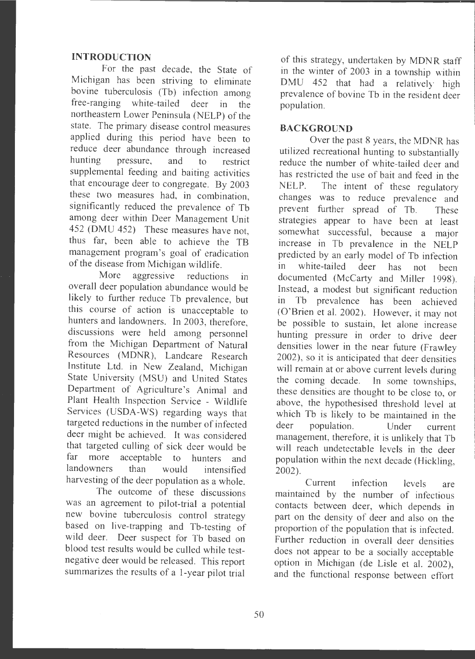### **INTRODUCTION**

For the past decade, the State of Michigan has been striving to eliminate bovine tuberculosis (Tb) infection among free-ranging white-tailed deer in the northeastern Lower Peninsula (NELP) of the state. The primary disease control measures applied during this period have been to reduce deer abundance through increased<br>hunting pressure, and to restrict pressure, and to restrict supplemental feeding and baiting activities that encourage deer to congregate. By 2003 these two measures had, in combination, significantly reduced the prevalence of Tb among deer within Deer Management Unit 452 (DMU 452) These measures have not, thus far, been able to achieve the TB management program 's goal of eradication of the disease from Michigan wildlife .

More aggressive reductions in overall deer population abundance would be likely to further reduce Tb prevalence, but this course of action is unacceptable to hunters and landowners. In 2003, therefore, discussions were held among personnel from the Michigan Department of Natural Resources (MDNR), Landcare Research Institute Ltd. in New Zealand, Michigan State University (MSU) and United States Department of Agriculture 's Animal and Plant Health Inspection Service - Wildlife Services (USDA-WS) regarding ways that targeted reductions in the number of infected deer might be achieved. It was considered that targeted culling of sick deer would be far more acceptable to hunters and landowners than would intensified harvesting of the deer population as a whole.

The outcome of these discussions was an agreement to pilot-trial a potential new bovine tuberculosis control strategy based on live-trapping and Tb-testing of wild deer. Deer suspect for Tb based on blood test results would be culled while testnegative deer would be released. This report summarizes the results of a 1-year pilot trial

of this strategy, undertaken by MDNR staff in the winter of 2003 in a township within DMU 452 that had a relatively high prevalence of bovine Tb in the resident deer population.

### **BACKGROUND**

Over the past 8 years, the MDNR has utilized recreational hunting to substantially reduce the number of white-tailed deer and has restricted the use of bait and feed in the NELP. The intent of these regulatory changes was to reduce prevalence and prevent further spread of Tb. These strategies appear to have been at least somewhat successful, because a major increase in Tb prevalence in the NELP predicted by an early model of Tb infection in white-tailed deer has not been documented (McCarty and Miller 1998). Instead, a modest but significant reduction in Tb prevalence has been achieved (O'Brien et al. 2002). However, it may not be possible to sustain, let alone increase hunting pressure in order to drive deer densities lower in the near future (Frawley 2002), so it is anticipated that deer densities will remain at or above current levels during the coming decade. In some townships, these densities are thought to be close to, or above, the hypothesised threshold level at which Tb is likely to be maintained in the deer population. Under current management, therefore, it is unlikely that Tb will reach undetectable levels in the deer population within the next decade (Hickling, 2002).

Current infection levels are maintained by the number of infectious contacts between deer, which depends in part on the density of deer and also on the proportion of the population that is infected. Further reduction in overall deer densities does not appear to be a socially acceptable option in Michigan (de Lisle et al. 2002), and the functional response between effort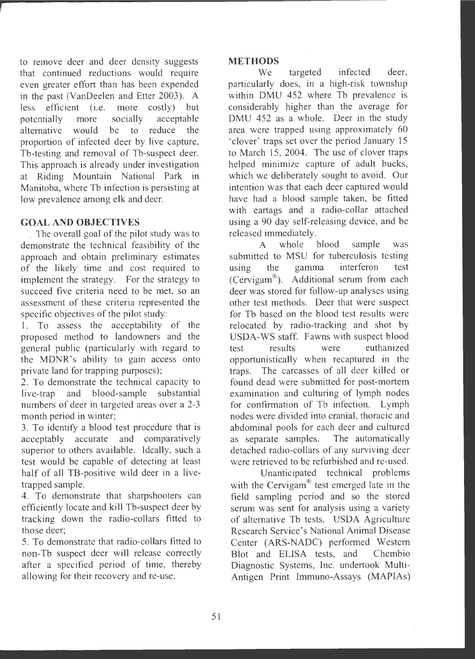to remove deer and deer density suggests that continued reductions would require even greater effort than has been expended in the past (VanDeelen and Etter 2003). A less efficient (i.e. more costly) but potentially more socially acceptable alternative would be to reduce the proportion of infected deer by live capture, Tb-testing and removal of Tb-suspect deer. This approach is already under investigation at Riding Mountain National Park in Manitoba, where Tb infection is persisting at low prevalence among elk and deer.

# **GOAL AND OBJECTIVES**

The overall goal of the pilot study was to demonstrate the technical feasibility of the approach and obtain preliminary estimates of the likely time and cost required to implement the strategy. For the strategy to succeed five criteria need to be met, so an assessment of these criteria represented the specific objectives of the pilot study:

1. To assess the acceptability of the proposed method to landowners and the general public (particularly with regard to the MDNR 's ability to gain access onto private land for trapping purposes);

2. To demonstrate the technical capacity to live-trap and blood-sample substantial numbers of deer in targeted areas over a 2-3 month period in winter;

3. To identify a blood test procedure that is acceptably accurate and comparatively superior to others available. Ideally, such a test would be capable of detecting at least half of all TB-positive wild deer in a livetrapped sample.

4. To demonstrate that sharpshooters can efficiently locate and kill Tb-suspect deer by tracking down the radio-collars fitted to those deer;

5. To demonstrate that radio-collars fitted to non-Tb suspect deer will release correctly after a specified period of time, thereby allowing for their recovery and re-use.

## **METHODS**

We targeted infected deer, particularly does, in a high-risk township within DMU 452 where Tb prevalence is considerably higher than the average for DMU 452 as a whole. Deer in the study area were trapped using approximately 60 ' clover ' traps set over the period January 15 to March 15, 2004. The use of clover traps helped minimize capture of adult bucks, which we deliberately sought to avoid. Our intention was that each deer captured would have had a blood sample taken, be fitted with eartags and a radio-collar attached using a 90 day self-releasing device, and be released immediately.

A whole blood sample was submitted to MSU for tuberculosis testing using the gamma interferon test (Cervigam<sup>®</sup>). Additional serum from each deer was stored for follow-up analyses using other test methods. Deer that were suspect for Tb based on the blood test results were relocated by radio-tracking and shot by USDA-WS staff. Fawns with suspect blood test results were euthanized opportunistically when recaptured in the traps. The carcasses of all deer killed or found dead were submitted for post-mortem examination and culturing of lymph nodes for confirmation of Tb infection. Lymph nodes were divided into cranial, thoracic and abdominal pools for each deer and cultured as separate samples. The automatically detached radio-collars of any surviving deer were retrieved to be refurbished and re-used.

Unanticipated technical problems with the Cervigam<sup>®</sup> test emerged late in the field sampling period and so the stored serum was sent for analysis using a variety of alternative Tb tests. USDA Agriculture Research Service's National Animal Disease Center (ARS-NADC) performed Western Blot and ELISA tests, and Chembio Diagnostic Systems, Inc. undertook Multi-Antigen Print Immune-Assays (MAPIAs)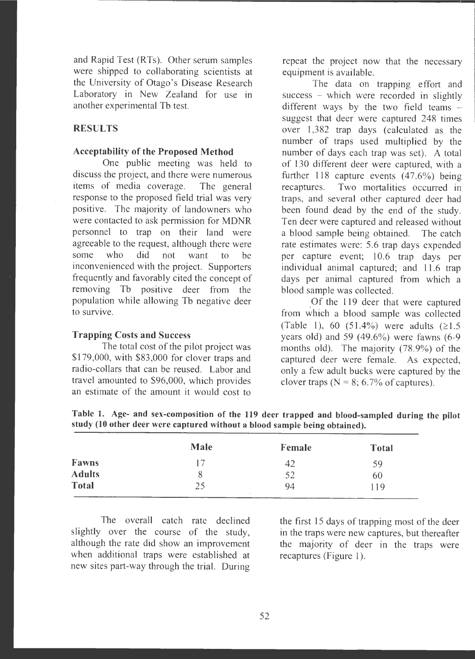and Rapid Test (RTs). Other serum samples were shipped to collaborating scientists at the University of Otago's Disease Research Laboratory in New Zealand for use in another experimental Tb test.

## **RESULTS**

## **Acceptability of the Proposed Method**

One public meeting was held to discuss the project, and there were numerous items of media coverage. The general response to the proposed field trial was very positive. The majority of landowners who were contacted to ask permission for MDNR personnel to trap on their land were agreeable to the request, although there were some who did not want to be inconvenienced with the project. Supporters frequently and favorably cited the concept of removing Tb positive deer from the population while allowing Tb negative deer to survive.

### **Trapping Costs and Success**

**Fawns Adults Total** 

The total cost of the pilot project was \$179,000, with \$83,000 for clover traps and radio-collars that can be reused. Labor and travel amounted to \$96,000, which provides an estimate of the amount it would cost to repeat the project now that the necessary equipment is available.

The data on trapping effort and success - which were recorded in slightly different ways by the two field teams  $$ suggest that deer were captured 248 times over 1,382 trap days (calculated as the number of traps used multiplied by the number of days each trap was set). A total of 130 different deer were captured, with a further 118 capture events (47.6%) being<br>recaptures. Two mortalities occurred in Two mortalities occurred in traps, and several other captured deer had been found dead by the end of the study. Ten deer were captured and released without a blood sample being obtained. The catch rate estimates were: 5.6 trap days expended per capture event; 10.6 trap days per individual animal captured; and 11.6 trap days per animal captured from which a blood sample was collected.

Of the 119 deer that were captured from which a blood sample was collected (Table 1), 60 (51.4%) were adults  $(≥1.5)$ years old) and 59  $(49.6\%)$  were fawns  $(6-9)$ months old). The majority (78.9%) of the captured deer were female. As expected, only a few adult bucks were captured by the clover traps ( $N = 8$ ; 6.7% of captures).

| study (10 other deer were captured without a blood sample being obtained). |             |        |       |  |  |
|----------------------------------------------------------------------------|-------------|--------|-------|--|--|
|                                                                            | <b>Male</b> | Female | Total |  |  |

42 52 94

**Table 1. Age- and sex-composition of the 119 deer trapped and blood-sampled during the pilot study (10 other deer were captured without a blood sample being obtained).** 

The overall catch rate declined slightly over the course of the study, although the rate did show an improvement when additional traps were established at new sites part-way through the trial. During

17 8 25

> the first 15 days of trapping most of the deer in the traps were new captures, but thereafter the majority of deer in the traps were recaptures (Figure 1).

59 60 119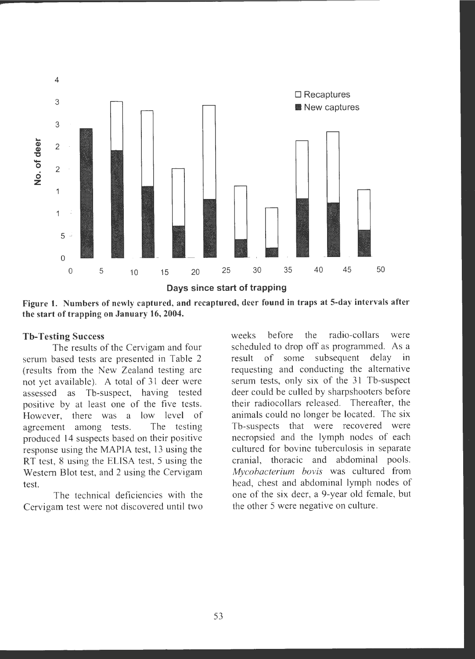

**Figure 1. Numbers of newly captured, and recaptured, deer found in traps at 5-day intervals after the start of trapping on January 16, 2004.** 

#### **Tb-Testing Success**

The results of the Cervigam and four serum based tests are presented in Table 2 (results from the New Zealand testing are not yet available). A total of 31 deer were assessed as Tb-suspect, having tested positive by at least one of the five tests. However, there was a low level of agreement among tests. The testing produced 14 suspects based on their positive response using the MAPIA test, 13 using the RT test, 8 using the ELISA test, 5 using the Western Blot test, and 2 using the Cervigam test.

The technical deficiencies with the Cervigam test were not discovered **until** two weeks before the radio-collars were scheduled to drop off as programmed. As a result of some subsequent delay in requesting and conducting the alternative serum tests, only six of the 31 Tb-suspect deer could be culled by sharpshooters before their radiocollars released. Thereafter, the animals could no longer be located. The six Tb-suspects that were recovered were necropsied and the lymph nodes of each cultured for bovine tuberculosis in separate cranial, thoracic and abdominal pools. *Mycobacterium bovis* was cultured from head, chest and abdominal lymph nodes of one of the six deer, a 9-year old female, but the other 5 were negative on culture.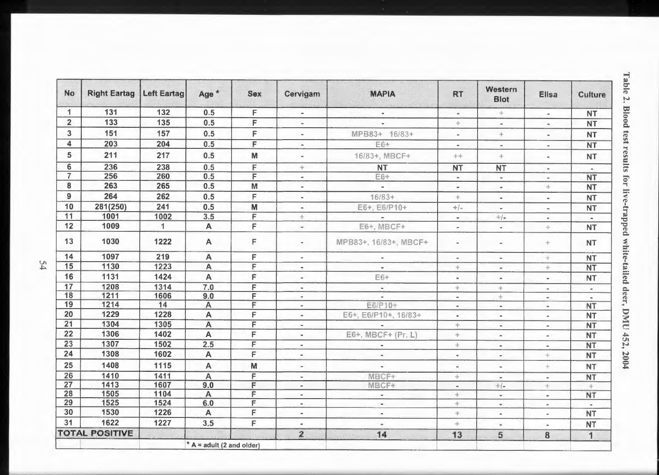| No             | <b>Right Eartag</b>   | <b>Left Eartag</b> | Age*           | <b>Sex</b>     | Cervigam                                                             | <b>MAPIA</b>          | <b>RT</b>                | Western<br><b>Blot</b>  | <b>Ellsa</b>        | <b>Culture</b> |
|----------------|-----------------------|--------------------|----------------|----------------|----------------------------------------------------------------------|-----------------------|--------------------------|-------------------------|---------------------|----------------|
| $\mathbf{1}$   | 131                   | 132                | 0.5            | F              | $\overline{\phantom{a}}$                                             | $\blacksquare$        | $\blacksquare$           |                         | $\sim$              | <b>NT</b>      |
| $\overline{2}$ | 133                   | 135                | 0.5            | F              | $\blacksquare$                                                       | $\blacksquare$        | ÷                        | $\sim$                  | $\sim$              | <b>NT</b>      |
| 3 <sup>1</sup> | 151                   | 157                | 0.5            | F              | $\blacksquare$                                                       | MPB83+ 16/83+         | $\,$ $\,$                | ÷                       | $\blacksquare$      | <b>NT</b>      |
| 4              | 203                   | 204                | 0.5            | F              | $\bullet$                                                            | E6+                   | $\sim$                   | $\blacksquare$          | $\blacksquare$      | <b>NT</b>      |
| 5              | 211                   | 217                | 0.5            | M              | $\bullet$                                                            | 16/83+, MBCF+         | 十十                       | ÷                       | $\blacksquare$      | <b>NT</b>      |
| 6              | 236                   | 238                | 0.5            | F              | ÷                                                                    | <b>NT</b>             | <b>NT</b>                | <b>NT</b>               | $\sim$              | $\sim$         |
| $\overline{7}$ | 256                   | 260                | 0.5            | F              | $\blacksquare$                                                       | E6+                   | $\sim$                   | $\sim$                  | $\sim$              | <b>NT</b>      |
| 8              | 263                   | 265                | 0.5            | M              | $\equiv$                                                             | $\bar{a}$             | $\sim$                   | $\blacksquare$          | ÷                   | <b>NT</b>      |
| $\overline{9}$ | 264                   | 262                | 0.5            | $\mathsf F$    | $\sim$                                                               | $16/83 +$             | ÷                        | $\blacksquare$          | $\blacksquare$      | <b>NT</b>      |
| 10             | 281(250)              | 241                | 0.5            | M              | $\blacksquare$                                                       | E6+, E6/P10+          | $+/-$                    | $\omega$                | $\blacksquare$      | <b>NT</b>      |
| 11             | 1001                  | 1002               | 3.5            | F              | ÷                                                                    |                       | $\blacksquare$           | $\frac{1}{2}$ / $=$     | $\sim$              | $\blacksquare$ |
| 12             | 1009                  | $\mathbf{1}$       | A              | Ė              | $\blacksquare$                                                       | E6+, MBCF+            | $\blacksquare$           | $\sim$                  | ÷                   | <b>NT</b>      |
| 13             | 1030                  | 1222               | $\mathsf{A}$   | $\mathsf F$    | $\sim$                                                               | MPB83+, 16/83+, MBCF+ | $\blacksquare$           | $\blacksquare$          | ÷                   | <b>NT</b>      |
| 14             | 1097                  | 219                | A              | F              | $\blacksquare$                                                       | $\blacksquare$        | $\equiv$                 | $\sim$                  | $\Phi$              | <b>NT</b>      |
| 15             | 1130                  | 1223               | A              | $\overline{F}$ | $\sim$                                                               | $\hskip 1.6cm =$      | ÷                        | $\blacksquare$          | ÷                   | <b>NT</b>      |
| 16             | 1131                  | 1424               | A              | F              | $\blacksquare$                                                       | $E6+$                 | $\blacksquare$           | $\blacksquare$          | $\blacksquare$      | <b>NT</b>      |
| 17             | 1208                  | 1314               | 7.0            | F              | $\hskip1.6pt\hskip1.6pt\hskip1.6pt\hskip1.6pt\hskip1.6pt\hskip1.6pt$ | $\mathbf{r}$          | ÷.                       | ÷.                      | $\equiv$            | $\sim$         |
| 18             | 1211                  | 1606               | 9.0            | F              | $\blacksquare$                                                       |                       | $\hskip 1.6cm =$         | ÷                       | $\sim$              | $\equiv$       |
| 19             | 1214                  | 14                 | $\overline{A}$ | F              | $\blacksquare$                                                       | E6/P10+               | $\sim$                   | $\alpha$                | $\scriptstyle\rm m$ | <b>NT</b>      |
| 20             | 1229                  | 1228               | A              | F              | $\bullet$                                                            | E6+, E6/P10+, 16/83+  | $\alpha$                 | $\bar{a}$               | $\blacksquare$      | <b>NT</b>      |
| 21             | 1304                  | 1305               | $\overline{A}$ | F              | $\blacksquare$                                                       |                       | $\frac{1}{2}n$           | $\alpha$                | $\mathbf{m}$        | <b>NT</b>      |
| 22             | 1306                  | 1402               | A              | F              | $\blacksquare$                                                       | E6+, MBCF+ (Pr. L)    | ÷                        | $\blacksquare$          | $\blacksquare$      | <b>NT</b>      |
| 23             | 1307                  | 1502               | 2.5            | $\overline{F}$ | $\blacksquare$                                                       | $\blacksquare$        | ÷                        | $\sim$                  | $\sim$              | <b>NT</b>      |
| 24             | 1308                  | 1602               | A              | F              | $\sim$                                                               | ÷.                    | $\blacksquare$           | $\blacksquare$          | ÷                   | <b>NT</b>      |
| 25             | 1408                  | 1115               | A              | M              | ٠                                                                    | $\bar{a}$             | $\bar{a}$                | $\bar{a}$               | ÷                   | <b>NT</b>      |
| 26             | 1410                  | 1411               | Ä              | F              | $\equiv$                                                             | MBCF+                 | ÷                        | $\sim$                  | $\sim$              | <b>NT</b>      |
| 27             | 1413                  | 1607               | 9.0            | F              | $\blacksquare$                                                       | MBCF+                 | $\frac{1}{2}$            | $+/-$                   | ÷                   | ÷              |
| 28             | 1505                  | 1104               | $\overline{A}$ | F              | $\blacksquare$                                                       | $\blacksquare$        | ÷                        | $\sim$                  | $\blacksquare$      | <b>NT</b>      |
| 29             | 1525                  | 1524               | 6.0            | F              | e.                                                                   | $\bar{\phantom{a}}$   | $\rightarrow$            | $\sim$                  | $\blacksquare$      | $\alpha$       |
| 30             | 1530                  | 1226               | $\mathsf{A}$   | F              | $\blacksquare$                                                       | $\blacksquare$        | ÷                        | $\sim$                  | $\sim$              | <b>NT</b>      |
| 31             | 1622                  | 1227               | 3.5            | F              | $\alpha$                                                             | $\alpha$              | $\frac{1}{2} \mathbb{P}$ | $\alpha$                | $\blacksquare$      | <b>NT</b>      |
|                | <b>TOTAL POSITIVE</b> |                    |                |                | $\overline{2}$                                                       | 14                    | 13                       | $\overline{\mathbf{5}}$ | 8                   | $\mathbf{1}$   |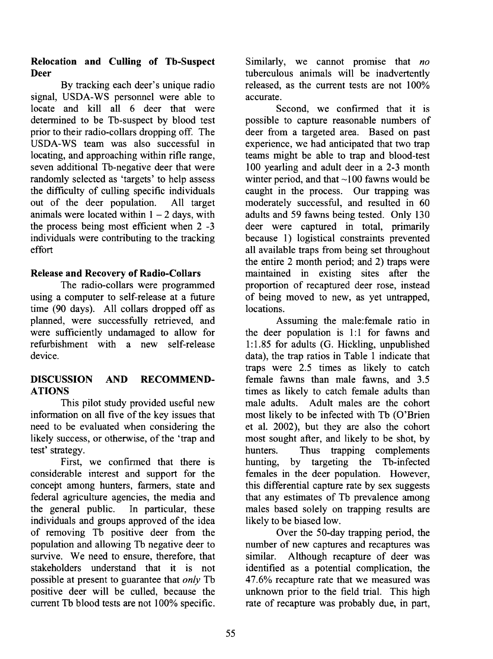# **Relocation and Culling of Tb-Suspect Deer**

By tracking each deer's unique radio signal, USDA-WS personnel were able to locate and kill all 6 deer that were determined to be Tb-suspect by blood test prior to their radio-collars dropping off. The USDA-WS team was also successful in locating, and approaching within rifle range, seven additional Tb-negative deer that were randomly selected as 'targets' to help assess the difficulty of culling specific individuals out of the deer population. All target animals were located within  $1 - 2$  days, with the process being most efficient when 2 -3 individuals were contributing to the tracking effort

# **Release and Recovery of Radio-Collars**

The radio-collars were programmed using a computer to self-release at a future time (90 days). All collars dropped off as planned, were successfully retrieved, and were sufficiently undamaged to allow for refurbishment with a new self-release device.

# **DISCUSSION AND RECOMMEND-ATIONS**

This pilot study provided useful new information on all five of the key issues that need to be evaluated when considering the likely success, or otherwise, of the 'trap and test' strategy.

First, we confirmed that there is considerable interest and support for the concept among hunters, farmers, state and federal agriculture agencies, the media and the general public. In particular, these individuals and groups approved of the idea of removing Tb positive deer from the population and allowing Tb negative deer to survive. We need to ensure, therefore, that stakeholders understand that it is not possible at present to guarantee that *only* Tb positive deer will be culled, because the current Tb blood tests are not 100% specific.

Similarly, we cannot promise that *no*  tuberculous animals will be inadvertently released, as the current tests are not 100% accurate.

Second, we confirmed that it is possible to capture reasonable numbers of deer from a targeted area. Based on past experience, we had anticipated that two trap teams might be able to trap and blood-test 100 yearling and adult deer in a 2-3 month winter period, and that  $\sim$  100 fawns would be caught in the process. Our trapping was moderately successful, and resulted in 60 adults and 59 fawns being tested. Only 130 deer were captured in total, primarily because 1) logistical constraints prevented all available traps from being set throughout the entire 2 month period; and 2) traps were maintained in existing sites after the proportion of recaptured deer rose, instead of being moved to new, as yet untrapped, locations.

Assuming the male:female ratio in the deer population is  $1:1$  for fawns and **1:** 1.85 for adults (G. Hickling, unpublished data), the trap ratios in Table 1 indicate that traps were 2.5 times as likely to catch female fawns than male fawns, and 3.5 times as likely to catch female adults than male adults. Adult males are the cohort most likely to be infected with Tb (O'Brien et al. 2002), but they are also the cohort most sought after, and likely to be shot, by hunters. Thus trapping complements hunting, by targeting the Tb-infected females in the deer population. However, this differential capture rate by sex suggests that any estimates of Tb prevalence among males based solely on trapping results are likely to be biased low.

Over the 50-day trapping period, the number of new captures and recaptures was similar. Although recapture of deer was identified as a potential complication, the 47.6% recapture rate that we measured was unknown prior to the field trial. This high rate of recapture was probably due, in part,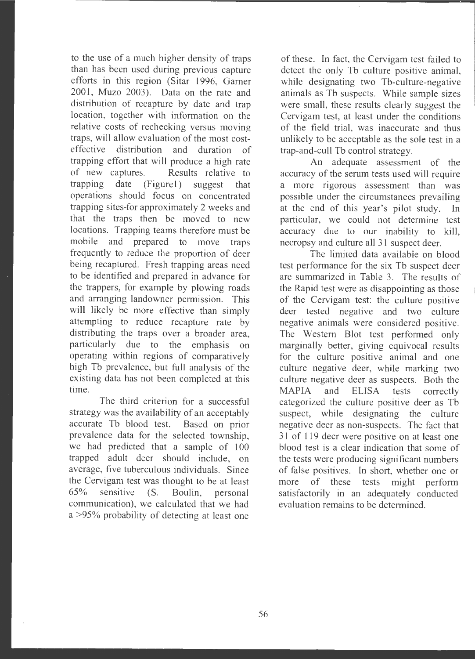to the use of a much higher density of traps than has been used during previous capture efforts in this region (Sitar 1996, Garner 2001, Muzo 2003). Data on the rate and distribution of recapture by date and trap location, together with information on the relative costs of rechecking versus moving traps, will allow evaluation of the most costeffective distribution and duration of trapping effort that will produce a high rate of new captures. Results relative to trapping date (Figure 1) suggest that operations should focus on concentrated trapping sites-for approximately 2 weeks and that the traps then be moved to new locations. Trapping teams therefore must be mobile and prepared to move traps frequently to reduce the proportion of deer being recaptured. Fresh trapping areas need to be identified and prepared in advance for the trappers, for example by plowing roads and arranging landowner permission. This will likely be more effective than simply attempting to reduce recapture rate by distributing the traps over a broader area, particularly due to the emphasis on operating within regions of comparatively high Tb prevalence, but full analysis of the existing data has not been completed at this time.

The third criterion for a successful strategy was the availability of an acceptably accurate Tb blood test. Based on prior prevalence data for the selected township, we had predicted that a sample of 100 trapped adult deer should include, on average, five tuberculous individuals. Since the Cervigam test was thought to be at least  $65\%$  sensitive  $(S.$  Boulin, personal communication), we calculated that we had a >95% probability of detecting at least one

of these. In fact, the Cervigam test failed to detect the only Tb culture positive animal, while designating two Tb-culture-negative animals as Tb suspects. While sample sizes were small, these results clearly suggest the Cervigam test, at least under the conditions of the field trial, was inaccurate and thus unlikely to be acceptable as the sole test in a trap-and-cull Tb control strategy.

An adequate assessment of the accuracy of the serum tests used will require a more rigorous assessment than was possible under the circumstances prevailing at the end of this year's pilot study. In particular, we could not determine test accuracy due to our inability to kill, necropsy and culture all 31 suspect deer.

The limited data available on blood test performance for the six Tb suspect deer are summarized in Table 3. The results of the Rapid test were as disappointing as those of the Cervigam test: the culture positive deer tested negative and two culture negative animals were considered positive. The Western Blot test performed only marginally better, giving equivocal results for the culture positive animal and one culture negative deer, while marking two culture negative deer as suspects. Both the MAPIA and ELISA tests correctly categorized the culture positive deer as Tb suspect, while designating the culture negative deer as non-suspects. The fact that 31 of 119 deer were positive on at least one blood test is a clear indication that some of the tests were producing significant numbers of false positives. In short, whether one or more of these tests might perform satisfactorily in an adequately conducted evaluation remains to be determined.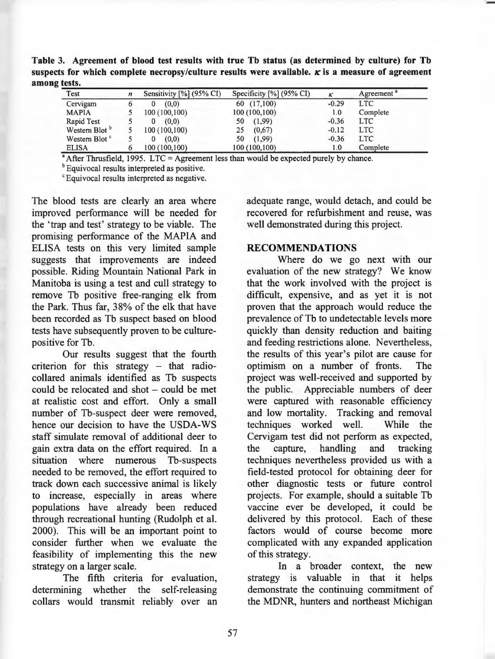**Table 3. Agreement of blood test results with true Tb status (as determined by culture) for Tb**  suspects for which complete necropsy/culture results were available.  $\kappa$  is a measure of agreement **among tests.** 

| tests.                    |   |                             |                          |         |                        |
|---------------------------|---|-----------------------------|--------------------------|---------|------------------------|
| Test                      | n | Sensitivity $[\%]$ (95% CI) | Specificity [%] (95% CI) | ĸ       | Agreement <sup>a</sup> |
| Cervigam                  |   | (0,0)<br>0                  | 60 (17,100)              | $-0.29$ | <b>LTC</b>             |
| <b>MAPIA</b>              |   | 100(100,100)                | 100 (100,100)            | 1.0     | Complete               |
| Rapid Test                |   | (0,0)<br>0                  | (1,99)<br>50             | $-0.36$ | <b>LTC</b>             |
| Western Blot <sup>b</sup> |   | 100(100,100)                | (0,67)<br>25             | $-0.12$ | <b>LTC</b>             |
| Western Blot <sup>c</sup> |   | (0,0)                       | (1,99)<br>50             | $-0.36$ | <b>LTC</b>             |
| <b>ELISA</b>              |   | 100 (100,100)               | 100 (100,100)            | 1.0     | Complete               |

 $^{\circ}$  After Thrusfield, 1995. LTC = Agreement less than would be expected purely by chance.

<sup>b</sup> Equivocal results interpreted as positive.

c Equivocal results interpreted as negative.

The blood tests are clearly an area where improved performance will be needed for the 'trap and test' strategy to be viable. The promising performance of the MAPIA and ELISA tests on this very limited sample suggests that improvements are indeed possible. Riding Mountain National Park in Manitoba is using a test and cull strategy to remove Tb positive free-ranging elk from the Park. Thus far, 38% of the elk that have been recorded as Tb suspect based on blood tests have subsequently proven to be culturepositive for Tb.

Our results suggest that the fourth criterion for this strategy  $-$  that radiocollared animals identified as Tb suspects could be relocated and shot – could be met at realistic cost and effort. Only a small number of Tb-suspect deer were removed, hence our decision to have the USDA-WS staff simulate removal of additional deer to gain extra data on the effort required. In a situation where numerous Tb-suspects needed to be removed, the effort required to track down each successive animal is likely to increase, especially in areas where populations have already been reduced through recreational hunting (Rudolph et al. 2000). This will be an important point to consider further when we evaluate the feasibility of implementing this the new strategy on a larger scale.

The fifth criteria for evaluation, determining whether the self-releasing collars would transmit reliably over an adequate range, would detach, and could be recovered for refurbishment and reuse, was well demonstrated during this project.

#### **RECOMMENDATIONS**

Where do we go next with our evaluation of the new strategy? We know that the work involved with the project is difficult, expensive, and as yet it is not proven that the approach would reduce the prevalence of Tb to undetectable levels more quickly than density reduction and baiting and feeding restrictions alone. Nevertheless, the results of this year's pilot are cause for optimism on a number of fronts. The project was well-received and supported by the public. Appreciable numbers of deer were captured with reasonable efficiency and low mortality. Tracking and removal techniques worked well. While the Cervigam test did not perform as expected, the capture, handling and tracking techniques nevertheless provided us with a field-tested protocol for obtaining deer for other diagnostic tests or future control projects. For example, should a suitable Tb vaccine ever be developed, it could be delivered by this protocol. Each of these factors would of course become more complicated with any expanded application of this strategy.

In a broader context, the new strategy is valuable in that it helps demonstrate the continuing commitment of the **MDNR,** hunters and northeast Michigan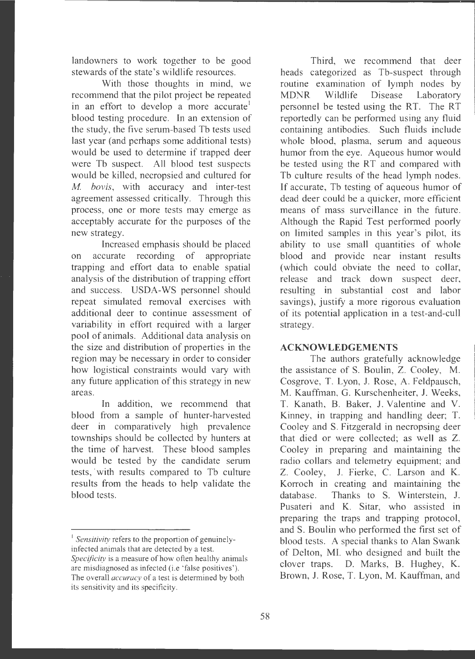landowners to work together to be good stewards of the state 's wildlife resources .

With those thoughts in mind, we recommend that the pilot project be repeated in an effort to develop a more accurate' blood testing procedure. In an extension of the study , the five serum-based Tb tests used last year (and perhaps some additional tests) would be used to determine if trapped deer were Tb suspect. All blood test suspects would be killed, necropsied and cultured for *M. bovis*, with accuracy and inter-test agreement assessed critically. Through this process, one or more tests may emerge as acceptably accurate for the purposes of the new strategy.

Increased emphasis should be placed on accurate recording of appropriate trapping and effort data to enable spatial analysis of the distribution of trapping effort and success. USDA-WS personnel should repeat simulated removal exercises with additional deer to continue assessment of variability in effort required with a larger pool of animals. Additional data analysis on the size and distribution of properties in the region may be necessary in order to consider how logistical constraints would vary with any future application of this strategy in new areas.

In addition, we recommend that blood from a sample of hunter-harvested deer in comparatively high prevalence townships should be collected by hunters at the time of harvest. These blood samples would be tested by the candidate serum tests, with results compared to Tb culture results from the heads to help validate the blood tests.

Third, we recommend that deer heads categorized as Tb-suspect through routine examination of lymph nodes by MDNR Wildlife Disease Laboratory personnel be tested using the RT. The RT reportedly can be performed using any fluid containing antibodies. Such fluids include whole blood, plasma, serum and aqueous humor from the eye. Aqueous humor would be tested using the RT and compared with Th culture results of the head lymph nodes. If accurate, Tb testing of aqueous humor of dead deer could be a quicker, more efficient means of mass surveillance in the future. Although the Rapid Test performed poorly on limited samples in this year's pilot, its ability to use small quantities of whole blood and provide near instant results (which could obviate the need to collar, release and track down suspect deer, resulting in substantial cost and labor savings), justify a more rigorous evaluation of its potential application in a test-and-cull strategy.

### **ACKNOWLEDGEMENTS**

The authors gratefully acknowledge the assistance of S. Boulin, Z. Cooley, M. Cosgrove, T. Lyon, J. Rose, A. Feldpausch, M. Kauffman, G. Kurschenheiter, J. Weeks, T. Kanath, B. Baker, J. Valentine and V. Kinney, in trapping and handling deer; T. Cooley and S. Fitzgerald in necropsing deer that died or were collected; as well as Z. Cooley in preparing and maintaining the radio collars and telemetry equipment; and Z. Cooley, J. Fierke, C. Larson and K. Korroch in creating and maintaining the database. Thanks to S. Winterstein, J. Pusateri and K. Sitar, who assisted in preparing the traps and trapping protocol, and S. Boulin who performed the first set of blood tests. A special thanks to Alan Swank of Delton, MI. who designed and built the clover traps. D. Marks, B. Hughey, K. Brown, J. Rose, T. Lyon, M. Kauffman, and

<sup>&</sup>lt;sup>1</sup> Sensitivity refers to the proportion of genuinelyinfected animals that are detected by a test. *Specificity* is a measure of how often healthy animals are misdiagnosed as infected (i.e 'false positives') . The overall *accuracy* of a test is determined by both its sensitivity and its specificity .